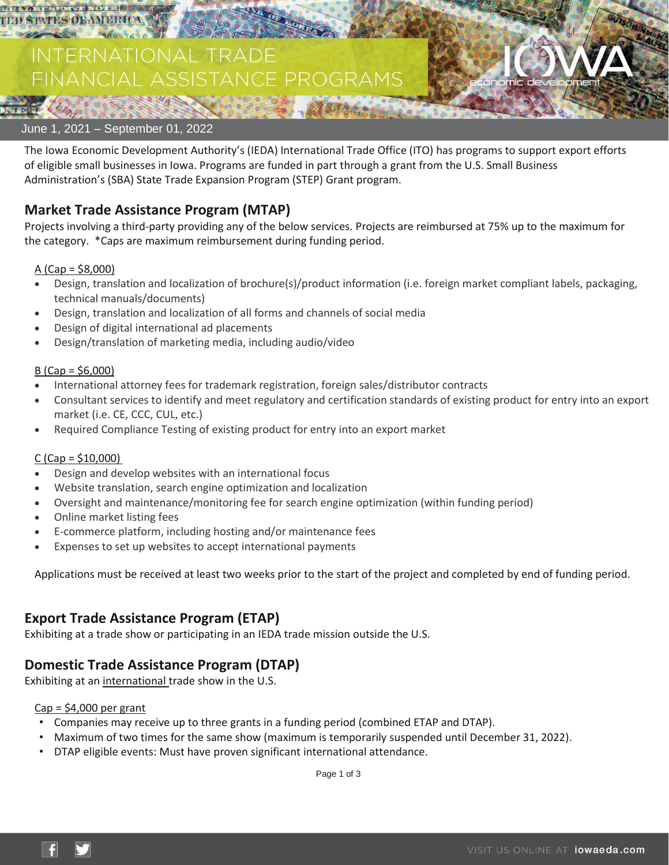

# **TERNATIONAL TRADE** ANCIAL ASSISTANCE PROGRAMS



The Iowa Economic Development Authority's (IEDA) International Trade Office (ITO) has programs to support export efforts of eligible small businesses in Iowa. Programs are funded in part through a grant from the U.S. Small Business Administration's (SBA) State Trade Expansion Program (STEP) Grant program.

## **Market Trade Assistance Program (MTAP)**

Projects involving a third-party providing any of the below services. Projects are reimbursed at 75% up to the maximum for the category. \*Caps are maximum reimbursement during funding period.

#### A (Cap = \$8,000)

- Design, translation and localization of brochure(s)/product information (i.e. foreign market compliant labels, packaging, technical manuals/documents)
- Design, translation and localization of all forms and channels of social media
- Design of digital international ad placements
- Design/translation of marketing media, including audio/video

#### $B$  (Cap = \$6,000)

- International attorney fees for trademark registration, foreign sales/distributor contracts
- Consultant services to identify and meet regulatory and certification standards of existing product for entry into an export market (i.e. CE, CCC, CUL, etc.)
- Required Compliance Testing of existing product for entry into an export market

#### $C$  (Cap = \$10,000)

- Design and develop websites with an international focus
- Website translation, search engine optimization and localization
- Oversight and maintenance/monitoring fee for search engine optimization (within funding period)
- Online market listing fees
- E-commerce platform, including hosting and/or maintenance fees
- Expenses to set up websites to accept international payments

Applications must be received at least two weeks prior to the start of the project and completed by end of funding period.

## **Export Trade Assistance Program (ETAP)**

Exhibiting at a trade show or participating in an IEDA trade mission outside the U.S.

## **Domestic Trade Assistance Program (DTAP)**

Exhibiting at an international trade show in the U.S.

#### $Cap = $4,000$  per grant

- Companies may receive up to three grants in a funding period (combined ETAP and DTAP).
- Maximum of two times for the same show (maximum is temporarily suspended until December 31, 2022).
- DTAP eligible events: Must have proven significant international attendance.

Page 1 of 3

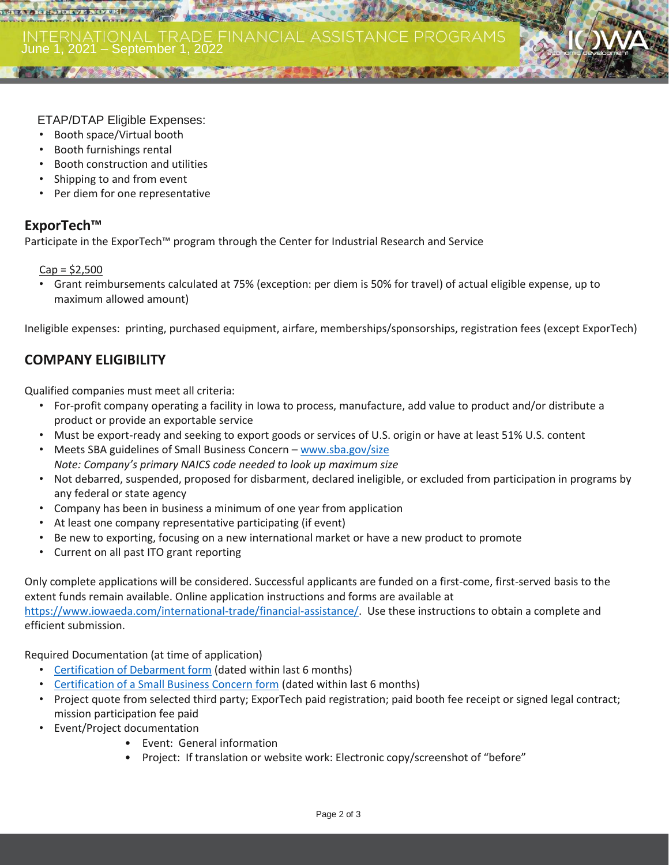

- Booth space/Virtual booth
- Booth furnishings rental
- Booth construction and utilities
- Shipping to and from event
- Per diem for one representative

### **ExporTech™**

**DETEALAREDEDIA ZENOTUE** 

Participate in the ExporTech™ program through the Center for Industrial Research and Service

 $Cap = $2,500$ 

• Grant reimbursements calculated at 75% (exception: per diem is 50% for travel) of actual eligible expense, up to maximum allowed amount)

Ineligible expenses: printing, purchased equipment, airfare, memberships/sponsorships, registration fees (except ExporTech)

## **COMPANY ELIGIBILITY**

Qualified companies must meet all criteria:

- For-profit company operating a facility in Iowa to process, manufacture, add value to product and/or distribute a product or provide an exportable service
- Must be export-ready and seeking to export goods or services of U.S. origin or have at least 51% U.S. content
- Meets SBA guidelines of Small Business Concern [www.sba.gov/size](http://www.sba.gov/size) *Note: Company's primary NAICS code needed to look up maximum size*
- Not debarred, suspended, proposed for disbarment, declared ineligible, or excluded from participation in programs by any federal or state agency
- Company has been in business a minimum of one year from application
- At least one company representative participating (if event)
- Be new to exporting, focusing on a new international market or have a new product to promote
- Current on all past ITO grant reporting

Only complete applications will be considered. Successful applicants are funded on a first-come, first-served basis to the extent funds remain available. Online application instructions and forms are available at

[https://www.iowaeda.com/international-trade/financial-assistance/.](https://www.iowaeda.com/international-trade/financial-assistance/) Use these instructions to obtain a complete and efficient submission.

Required Documentation (at time of application)

- [Certification of Debarment form](https://www.iowaeda.com/userdocs/programs/resources/CertificationDebarment.pdf) (dated within last 6 months)
- [Certification of a Small Business Concern form](https://www.iowaeda.com/userdocs/programs/resources/CertificationSmallBusinessConcern.pdf) (dated within last 6 months)
- Project quote from selected third party; ExporTech paid registration; paid booth fee receipt or signed legal contract; mission participation fee paid
- Event/Project documentation
	- Event: General information
	- Project: If translation or website work: Electronic copy/screenshot of "before"